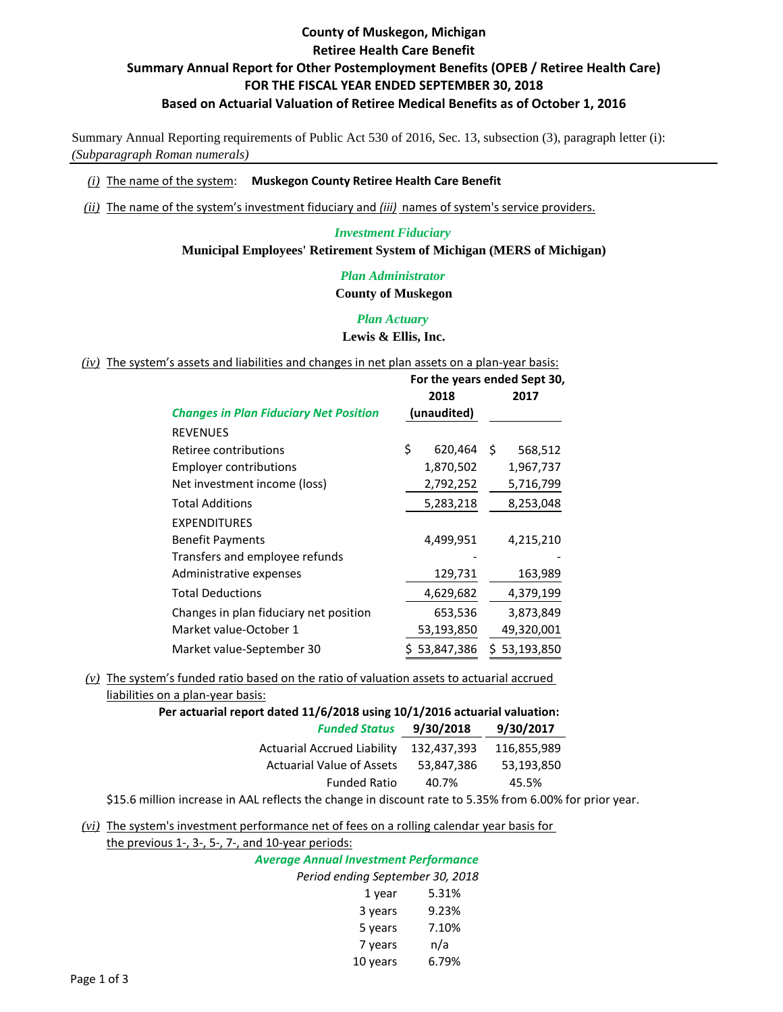## **County of Muskegon, Michigan Retiree Health Care Benefit Summary Annual Report for Other Postemployment Benefits (OPEB / Retiree Health Care) FOR THE FISCAL YEAR ENDED SEPTEMBER 30, 2018 Based on Actuarial Valuation of Retiree Medical Benefits as of October 1, 2016**

Summary Annual Reporting requirements of Public Act 530 of 2016, Sec. 13, subsection (3), paragraph letter (i): *(Subparagraph Roman numerals)*

#### *(i)* The name of the system: **Muskegon County Retiree Health Care Benefit**

*(ii)* The name of the system's investment fiduciary and *(iii)* names of system's service providers.

#### *Investment Fiduciary* **Municipal Employees' Retirement System of Michigan (MERS of Michigan)**

*Plan Administrator* **County of Muskegon**

## *Plan Actuary* **Lewis & Ellis, Inc.**

*(iv)* The system's assets and liabilities and changes in net plan assets on a plan-year basis:

|                                               | For the years ended Sept 30, |                |  |
|-----------------------------------------------|------------------------------|----------------|--|
|                                               | 2018                         | 2017           |  |
| <b>Changes in Plan Fiduciary Net Position</b> | (unaudited)                  |                |  |
| <b>REVENUES</b>                               |                              |                |  |
| Retiree contributions                         | \$<br>620,464                | \$.<br>568,512 |  |
| <b>Employer contributions</b>                 | 1,870,502                    | 1,967,737      |  |
| Net investment income (loss)                  | 2,792,252                    | 5,716,799      |  |
| <b>Total Additions</b>                        | 5,283,218                    | 8,253,048      |  |
| <b>EXPENDITURES</b>                           |                              |                |  |
| <b>Benefit Payments</b>                       | 4,499,951                    | 4,215,210      |  |
| Transfers and employee refunds                |                              |                |  |
| Administrative expenses                       | 129,731                      | 163,989        |  |
| <b>Total Deductions</b>                       | 4,629,682                    | 4,379,199      |  |
| Changes in plan fiduciary net position        | 653,536                      | 3,873,849      |  |
| Market value-October 1                        | 53,193,850                   | 49,320,001     |  |
| Market value-September 30                     | 53,847,386                   | 53,193,850     |  |

#### *(v)* The system's funded ratio based on the ratio of valuation assets to actuarial accrued

liabilities on a plan-year basis:

|                                    | Per actuarial report dated 11/6/2018 using 10/1/2016 actuarial valuation: |             |  |  |
|------------------------------------|---------------------------------------------------------------------------|-------------|--|--|
| <b>Funded Status</b>               | 9/30/2018                                                                 |             |  |  |
| <b>Actuarial Accrued Liability</b> | 132.437.393                                                               | 116,855,989 |  |  |
| <b>Actuarial Value of Assets</b>   | 53.847.386                                                                | 53.193.850  |  |  |
| <b>Funded Ratio</b>                | 40.7%                                                                     | 45.5%       |  |  |
|                                    |                                                                           |             |  |  |

\$15.6 million increase in AAL reflects the change in discount rate to 5.35% from 6.00% for prior year.

*(vi)* The system's investment performance net of fees on a rolling calendar year basis for

the previous 1‐, 3‐, 5‐, 7‐, and 10‐year periods:

| <b>Average Annual Investment Performance</b> |                                  |  |  |
|----------------------------------------------|----------------------------------|--|--|
|                                              | Period ending September 30, 2018 |  |  |
| 1 year                                       | 5.31%                            |  |  |
| 3 years                                      | 9.23%                            |  |  |
| 5 years                                      | 7.10%                            |  |  |
| 7 years                                      | n/a                              |  |  |
| 10 years                                     | 6.79%                            |  |  |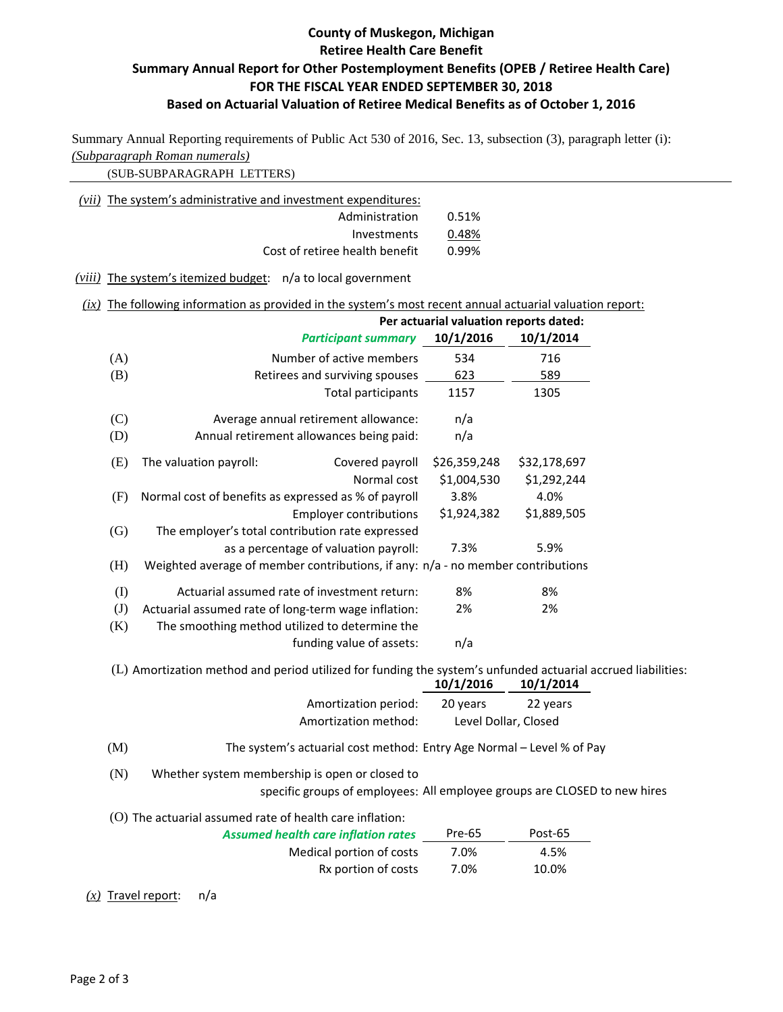# **County of Muskegon, Michigan Retiree Health Care Benefit Summary Annual Report for Other Postemployment Benefits (OPEB / Retiree Health Care) FOR THE FISCAL YEAR ENDED SEPTEMBER 30, 2018 Based on Actuarial Valuation of Retiree Medical Benefits as of October 1, 2016**

Summary Annual Reporting requirements of Public Act 530 of 2016, Sec. 13, subsection (3), paragraph letter (i): *(Subparagraph Roman numerals)*

(SUB-SUBPARAGRAPH LETTERS)

| $(vii)$ The system's administrative and investment expenditures: |       |
|------------------------------------------------------------------|-------|
| Administration                                                   | 0.51% |
| Investments                                                      | 0.48% |
| Cost of retiree health benefit                                   | 0.99% |
|                                                                  |       |

*(viii)* The system's itemized budget: n/a to local government

## *(ix)* The following information as provided in the system's most recent annual actuarial valuation report:

|     | Per actuarial valuation reports dated:                                                                                      |                      |              |  |
|-----|-----------------------------------------------------------------------------------------------------------------------------|----------------------|--------------|--|
|     | <b>Participant summary</b>                                                                                                  | 10/1/2016            | 10/1/2014    |  |
| (A) | Number of active members                                                                                                    | 534                  | 716          |  |
| (B) | Retirees and surviving spouses                                                                                              | 623                  | 589          |  |
|     | <b>Total participants</b>                                                                                                   | 1157                 | 1305         |  |
| (C) | Average annual retirement allowance:                                                                                        | n/a                  |              |  |
| (D) | Annual retirement allowances being paid:                                                                                    | n/a                  |              |  |
| (E) | The valuation payroll:<br>Covered payroll                                                                                   | \$26,359,248         | \$32,178,697 |  |
|     | Normal cost                                                                                                                 | \$1,004,530          | \$1,292,244  |  |
| (F) | Normal cost of benefits as expressed as % of payroll                                                                        | 3.8%                 | 4.0%         |  |
|     | <b>Employer contributions</b>                                                                                               | \$1,924,382          | \$1,889,505  |  |
| (G) | The employer's total contribution rate expressed                                                                            |                      |              |  |
|     | as a percentage of valuation payroll:                                                                                       | 7.3%                 | 5.9%         |  |
| (H) | Weighted average of member contributions, if any: n/a - no member contributions                                             |                      |              |  |
| (I) | Actuarial assumed rate of investment return:                                                                                | 8%                   | 8%           |  |
| (J) | Actuarial assumed rate of long-term wage inflation:                                                                         | 2%                   | 2%           |  |
| (K) | The smoothing method utilized to determine the                                                                              |                      |              |  |
|     | funding value of assets:                                                                                                    | n/a                  |              |  |
|     | (L) Amortization method and period utilized for funding the system's unfunded actuarial accrued liabilities:                | 10/1/2016            | 10/1/2014    |  |
|     | Amortization period:                                                                                                        | 20 years             | 22 years     |  |
|     | Amortization method:                                                                                                        | Level Dollar, Closed |              |  |
| (M) | The system's actuarial cost method: Entry Age Normal - Level % of Pay                                                       |                      |              |  |
| (N) | Whether system membership is open or closed to<br>specific groups of employees: All employee groups are CLOSED to new hires |                      |              |  |
|     | (O) The actuarial assumed rate of health care inflation:                                                                    |                      |              |  |

| <b>Assumed health care inflation rates</b> | Pre-65 | Post-65 |
|--------------------------------------------|--------|---------|
| Medical portion of costs                   | 7.0%   | 4.5%    |
| Rx portion of costs                        | 7.0%   | 10.0%   |

*(x)* Travel report: n/a